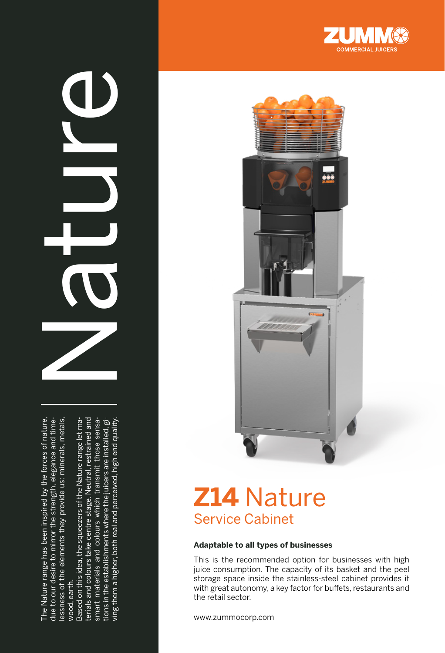The Nature range has been inspired by the forces of nature, The Nature range has been inspired by the forces of nature, due to our desire to mirror the strength, elegance and timelessness of the elements they provide us: minerals, metals, due to our desire to mirror the strength, elegance and timelessness of the elements they provide us: minerals, metals, wood, earth. wood, earth.

terials and colours take centre stage. Neutral, restrained and Based on this idea, the squeezers of the Nature range let materials and colours take centre stage. Neutral, restrained and smart materials and colours which transmit those sensasmart materials and colours which transmit those sensations in the establishments where the juicers are installed, gitions in the establishments where the juicers are installed, giving them a higher, both real and perceived, high end quality.Based on this idea, the squeezers of the Nature range let maving them a higher, both real and perceived, high end quality.

 $\overline{\mathbf{0}}$ 





# **Z14** Nature Service Cabinet

### **Adaptable to all types of businesses**

This is the recommended option for businesses with high juice consumption. The capacity of its basket and the peel storage space inside the stainless-steel cabinet provides it with great autonomy, a key factor for buffets, restaurants and the retail sector.

www.zummocorp.com